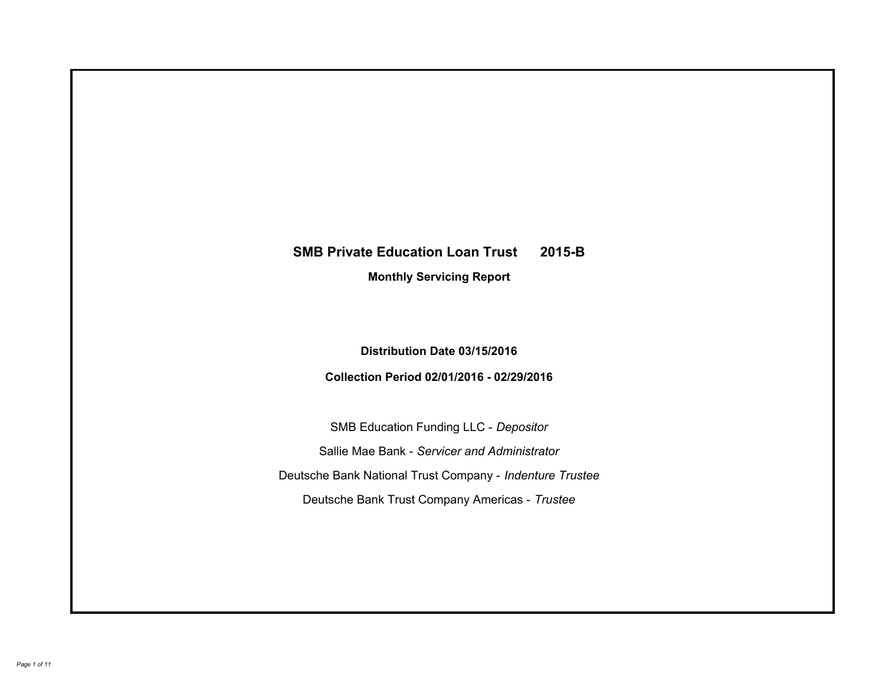# **SMB Private Education Loan Trust 2015-B Monthly Servicing Report**

## **Distribution Date 03/15/2016**

## **Collection Period 02/01/2016 - 02/29/2016**

SMB Education Funding LLC - *Depositor* Sallie Mae Bank - *Servicer and Administrator* Deutsche Bank National Trust Company - *Indenture Trustee* Deutsche Bank Trust Company Americas - *Trustee*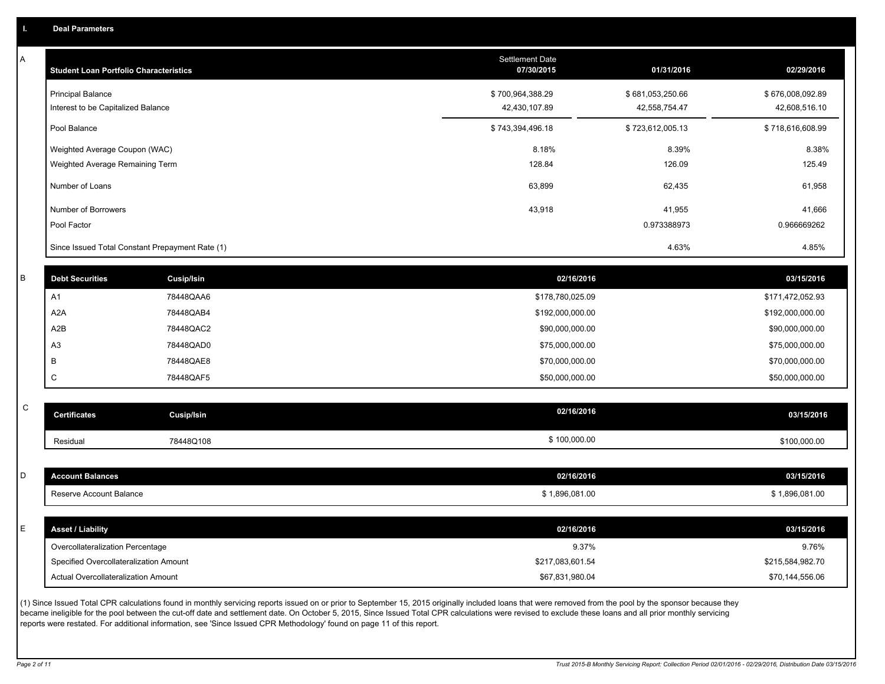A

| A | <b>Student Loan Portfolio Characteristics</b> |                                                 | <b>Settlement Date</b><br>07/30/2015 | 01/31/2016       | 02/29/2016       |
|---|-----------------------------------------------|-------------------------------------------------|--------------------------------------|------------------|------------------|
|   | <b>Principal Balance</b>                      |                                                 | \$700,964,388.29                     | \$681,053,250.66 | \$676,008,092.89 |
|   | Interest to be Capitalized Balance            |                                                 | 42,430,107.89                        | 42,558,754.47    | 42,608,516.10    |
|   | Pool Balance                                  |                                                 | \$743,394,496.18                     | \$723,612,005.13 | \$718,616,608.99 |
|   | Weighted Average Coupon (WAC)                 |                                                 | 8.18%                                | 8.39%            | 8.38%            |
|   | Weighted Average Remaining Term               |                                                 | 128.84                               | 126.09           | 125.49           |
|   | Number of Loans                               |                                                 | 63,899                               | 62,435           | 61,958           |
|   | Number of Borrowers                           |                                                 | 43,918                               | 41,955           | 41,666           |
|   | Pool Factor                                   |                                                 |                                      | 0.973388973      | 0.966669262      |
|   |                                               | Since Issued Total Constant Prepayment Rate (1) |                                      | 4.63%            | 4.85%            |
|   |                                               |                                                 |                                      |                  |                  |
| R | <b>Debt Securities</b>                        | Cusip/Isin                                      | 02/16/2016                           |                  | 03/15/2016       |
|   | A1                                            | 78448QAA6                                       | \$178,780,025.09                     |                  | \$171,472,052.93 |
|   | A <sub>2</sub> A                              | 78448QAB4                                       | \$192,000,000.00                     |                  | \$192,000,000.00 |
|   | A2B                                           | 78448QAC2                                       | \$90,000,000.00                      |                  | \$90,000,000.00  |
|   | A <sub>3</sub>                                | 78448QAD0                                       | \$75,000,000.00                      |                  | \$75,000,000.00  |
|   | B                                             | 78448QAE8                                       | \$70,000,000.00                      |                  | \$70,000,000.00  |
|   | C                                             | 78448QAF5                                       | \$50,000,000.00                      |                  | \$50,000,000.00  |
| С |                                               |                                                 | 02/16/2016                           |                  |                  |
|   | <b>Certificates</b>                           | Cusip/Isin                                      |                                      |                  | 03/15/2016       |
|   | Residual                                      | 78448Q108                                       | \$100,000.00                         |                  | \$100,000.00     |
|   |                                               |                                                 |                                      |                  |                  |
| D | <b>Account Balances</b>                       |                                                 | 02/16/2016                           |                  | 03/15/2016       |
|   | Reserve Account Balance                       |                                                 | \$1,896,081.00                       |                  | \$1,896,081.00   |
| F | <b>Asset / Liability</b>                      |                                                 | 02/16/2016                           |                  | 03/15/2016       |
|   | Overcollateralization Percentage              |                                                 |                                      | 9.37%            | 9.76%            |
|   | Specified Overcollateralization Amount        |                                                 | \$217,083,601.54                     |                  | \$215,584,982.70 |
|   | <b>Actual Overcollateralization Amount</b>    |                                                 | \$67,831,980.04                      |                  | \$70,144,556.06  |
|   |                                               |                                                 |                                      |                  |                  |

(1) Since Issued Total CPR calculations found in monthly servicing reports issued on or prior to September 15, 2015 originally included loans that were removed from the pool by the sponsor because they became ineligible for the pool between the cut-off date and settlement date. On October 5, 2015, Since Issued Total CPR calculations were revised to exclude these loans and all prior monthly servicing reports were restated. For additional information, see 'Since Issued CPR Methodology' found on page 11 of this report.

C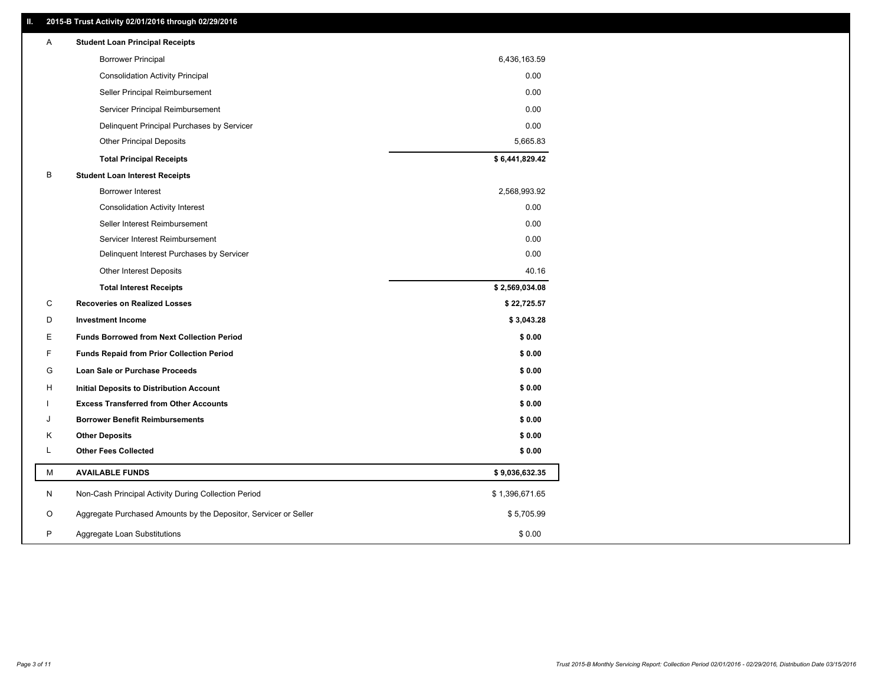## **II. 2015-B Trust Activity 02/01/2016 through 02/29/2016**

| Α | <b>Student Loan Principal Receipts</b>                           |                |  |
|---|------------------------------------------------------------------|----------------|--|
|   | <b>Borrower Principal</b>                                        | 6,436,163.59   |  |
|   | <b>Consolidation Activity Principal</b>                          | 0.00           |  |
|   | Seller Principal Reimbursement                                   | 0.00           |  |
|   | Servicer Principal Reimbursement                                 | 0.00           |  |
|   | Delinquent Principal Purchases by Servicer                       | 0.00           |  |
|   | <b>Other Principal Deposits</b>                                  | 5,665.83       |  |
|   | <b>Total Principal Receipts</b>                                  | \$6,441,829.42 |  |
| B | <b>Student Loan Interest Receipts</b>                            |                |  |
|   | <b>Borrower Interest</b>                                         | 2,568,993.92   |  |
|   | <b>Consolidation Activity Interest</b>                           | 0.00           |  |
|   | Seller Interest Reimbursement                                    | 0.00           |  |
|   | Servicer Interest Reimbursement                                  | 0.00           |  |
|   | Delinquent Interest Purchases by Servicer                        | 0.00           |  |
|   | <b>Other Interest Deposits</b>                                   | 40.16          |  |
|   | <b>Total Interest Receipts</b>                                   | \$2,569,034.08 |  |
| C | <b>Recoveries on Realized Losses</b>                             | \$22,725.57    |  |
| D | <b>Investment Income</b>                                         | \$3,043.28     |  |
| Е | <b>Funds Borrowed from Next Collection Period</b>                | \$0.00         |  |
| F | <b>Funds Repaid from Prior Collection Period</b>                 | \$0.00         |  |
| G | Loan Sale or Purchase Proceeds                                   | \$0.00         |  |
| н | Initial Deposits to Distribution Account                         | \$0.00         |  |
|   | <b>Excess Transferred from Other Accounts</b>                    | \$0.00         |  |
| J | <b>Borrower Benefit Reimbursements</b>                           | \$0.00         |  |
| Κ | <b>Other Deposits</b>                                            | \$0.00         |  |
| L | <b>Other Fees Collected</b>                                      | \$0.00         |  |
| М | <b>AVAILABLE FUNDS</b>                                           | \$9,036,632.35 |  |
| N | Non-Cash Principal Activity During Collection Period             | \$1,396,671.65 |  |
| O | Aggregate Purchased Amounts by the Depositor, Servicer or Seller | \$5,705.99     |  |
| P | Aggregate Loan Substitutions                                     | \$0.00         |  |
|   |                                                                  |                |  |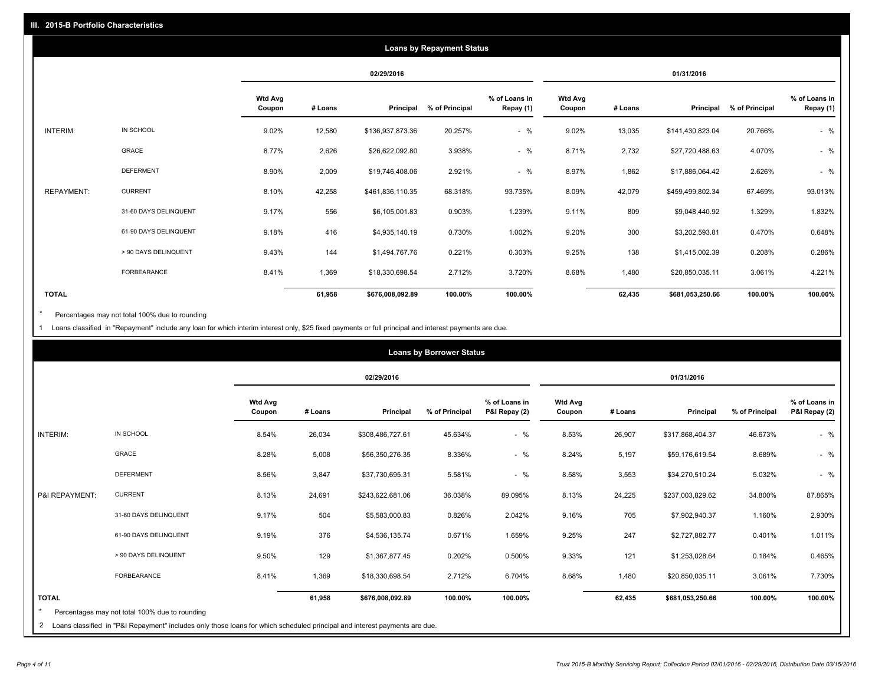|                   |                       |                          |         |                  | <b>Loans by Repayment Status</b> |                            |                          |         |                  |                |                            |
|-------------------|-----------------------|--------------------------|---------|------------------|----------------------------------|----------------------------|--------------------------|---------|------------------|----------------|----------------------------|
|                   |                       |                          |         | 02/29/2016       |                                  |                            |                          |         | 01/31/2016       |                |                            |
|                   |                       | <b>Wtd Avg</b><br>Coupon | # Loans | Principal        | % of Principal                   | % of Loans in<br>Repay (1) | <b>Wtd Avg</b><br>Coupon | # Loans | Principal        | % of Principal | % of Loans in<br>Repay (1) |
| INTERIM:          | IN SCHOOL             | 9.02%                    | 12,580  | \$136,937,873.36 | 20.257%                          | $-$ %                      | 9.02%                    | 13,035  | \$141,430,823.04 | 20.766%        | $-$ %                      |
|                   | <b>GRACE</b>          | 8.77%                    | 2,626   | \$26,622,092.80  | 3.938%                           | $-$ %                      | 8.71%                    | 2,732   | \$27,720,488.63  | 4.070%         | $-$ %                      |
|                   | <b>DEFERMENT</b>      | 8.90%                    | 2,009   | \$19,746,408.06  | 2.921%                           | $-$ %                      | 8.97%                    | 1,862   | \$17,886,064.42  | 2.626%         | $-$ %                      |
| <b>REPAYMENT:</b> | <b>CURRENT</b>        | 8.10%                    | 42,258  | \$461,836,110.35 | 68.318%                          | 93.735%                    | 8.09%                    | 42,079  | \$459,499,802.34 | 67.469%        | 93.013%                    |
|                   | 31-60 DAYS DELINQUENT | 9.17%                    | 556     | \$6,105,001.83   | 0.903%                           | 1.239%                     | 9.11%                    | 809     | \$9,048,440.92   | 1.329%         | 1.832%                     |
|                   | 61-90 DAYS DELINQUENT | 9.18%                    | 416     | \$4,935,140.19   | 0.730%                           | 1.002%                     | 9.20%                    | 300     | \$3,202,593.81   | 0.470%         | 0.648%                     |
|                   | > 90 DAYS DELINQUENT  | 9.43%                    | 144     | \$1,494,767.76   | 0.221%                           | 0.303%                     | 9.25%                    | 138     | \$1,415,002.39   | 0.208%         | 0.286%                     |
|                   | FORBEARANCE           | 8.41%                    | 1,369   | \$18,330,698.54  | 2.712%                           | 3.720%                     | 8.68%                    | 1,480   | \$20,850,035.11  | 3.061%         | 4.221%                     |
| <b>TOTAL</b>      |                       |                          | 61,958  | \$676,008,092.89 | 100.00%                          | 100.00%                    |                          | 62,435  | \$681,053,250.66 | 100.00%        | 100.00%                    |

Percentages may not total 100% due to rounding  $^\star$ 

1 Loans classified in "Repayment" include any loan for which interim interest only, \$25 fixed payments or full principal and interest payments are due.

|                |                                                |                          |         |                  | <b>Loans by Borrower Status</b> |                                |                          |         |                  |                |                                |
|----------------|------------------------------------------------|--------------------------|---------|------------------|---------------------------------|--------------------------------|--------------------------|---------|------------------|----------------|--------------------------------|
|                |                                                |                          |         | 02/29/2016       |                                 |                                |                          |         | 01/31/2016       |                |                                |
|                |                                                | <b>Wtd Avg</b><br>Coupon | # Loans | Principal        | % of Principal                  | % of Loans in<br>P&I Repay (2) | <b>Wtd Avg</b><br>Coupon | # Loans | Principal        | % of Principal | % of Loans in<br>P&I Repay (2) |
| INTERIM:       | IN SCHOOL                                      | 8.54%                    | 26,034  | \$308,486,727.61 | 45.634%                         | $-$ %                          | 8.53%                    | 26,907  | \$317,868,404.37 | 46.673%        | $-$ %                          |
|                | GRACE                                          | 8.28%                    | 5,008   | \$56,350,276.35  | 8.336%                          | $-$ %                          | 8.24%                    | 5,197   | \$59,176,619.54  | 8.689%         | $-$ %                          |
|                | <b>DEFERMENT</b>                               | 8.56%                    | 3,847   | \$37,730,695.31  | 5.581%                          | $- 9/6$                        | 8.58%                    | 3,553   | \$34,270,510.24  | 5.032%         | $-$ %                          |
| P&I REPAYMENT: | <b>CURRENT</b>                                 | 8.13%                    | 24,691  | \$243,622,681.06 | 36.038%                         | 89.095%                        | 8.13%                    | 24,225  | \$237,003,829.62 | 34.800%        | 87.865%                        |
|                | 31-60 DAYS DELINQUENT                          | 9.17%                    | 504     | \$5,583,000.83   | 0.826%                          | 2.042%                         | 9.16%                    | 705     | \$7,902,940.37   | 1.160%         | 2.930%                         |
|                | 61-90 DAYS DELINQUENT                          | 9.19%                    | 376     | \$4,536,135.74   | 0.671%                          | 1.659%                         | 9.25%                    | 247     | \$2,727,882.77   | 0.401%         | 1.011%                         |
|                | > 90 DAYS DELINQUENT                           | 9.50%                    | 129     | \$1,367,877.45   | 0.202%                          | 0.500%                         | 9.33%                    | 121     | \$1,253,028.64   | 0.184%         | 0.465%                         |
|                | FORBEARANCE                                    | 8.41%                    | 1,369   | \$18,330,698.54  | 2.712%                          | 6.704%                         | 8.68%                    | 1,480   | \$20,850,035.11  | 3.061%         | 7.730%                         |
| <b>TOTAL</b>   | Percentages may not total 100% due to rounding |                          | 61,958  | \$676,008,092.89 | 100.00%                         | 100.00%                        |                          | 62,435  | \$681,053,250.66 | 100.00%        | 100.00%                        |
|                |                                                |                          |         |                  |                                 |                                |                          |         |                  |                |                                |

<sup>2</sup> Loans classified in "P&I Repayment" includes only those loans for which scheduled principal and interest payments are due.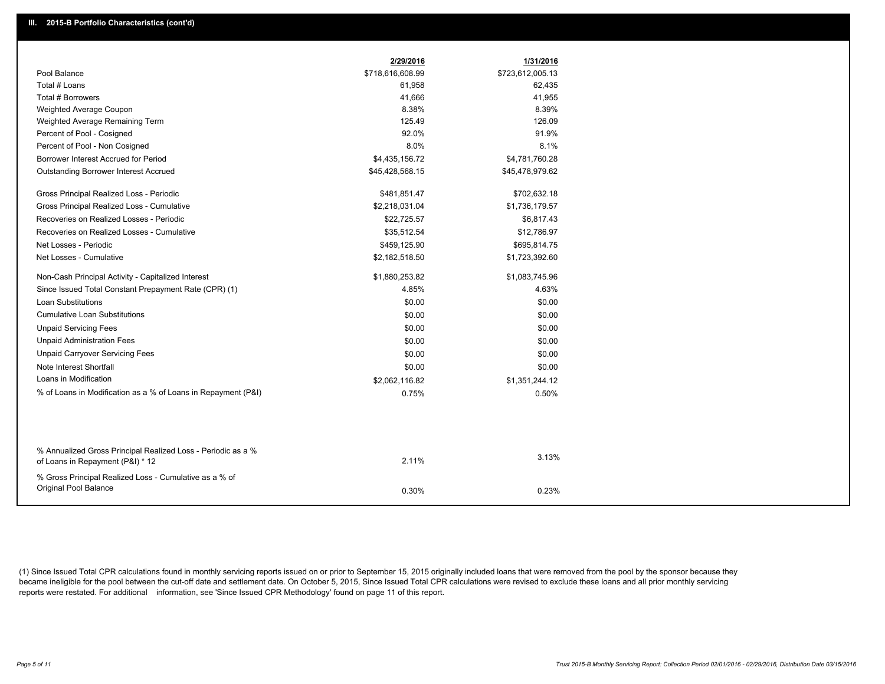|                                                                                                  | 2/29/2016        | 1/31/2016        |
|--------------------------------------------------------------------------------------------------|------------------|------------------|
| Pool Balance                                                                                     | \$718,616,608.99 | \$723,612,005.13 |
| Total # Loans                                                                                    | 61,958           | 62,435           |
| Total # Borrowers                                                                                | 41,666           | 41,955           |
| Weighted Average Coupon                                                                          | 8.38%            | 8.39%            |
| Weighted Average Remaining Term                                                                  | 125.49           | 126.09           |
| Percent of Pool - Cosigned                                                                       | 92.0%            | 91.9%            |
| Percent of Pool - Non Cosigned                                                                   | 8.0%             | 8.1%             |
| Borrower Interest Accrued for Period                                                             | \$4,435,156.72   | \$4,781,760.28   |
| <b>Outstanding Borrower Interest Accrued</b>                                                     | \$45,428,568.15  | \$45,478,979.62  |
| Gross Principal Realized Loss - Periodic                                                         | \$481,851.47     | \$702,632.18     |
| Gross Principal Realized Loss - Cumulative                                                       | \$2,218,031.04   | \$1,736,179.57   |
| Recoveries on Realized Losses - Periodic                                                         | \$22,725.57      | \$6,817.43       |
| Recoveries on Realized Losses - Cumulative                                                       | \$35,512.54      | \$12,786.97      |
| Net Losses - Periodic                                                                            | \$459,125.90     | \$695,814.75     |
| Net Losses - Cumulative                                                                          | \$2,182,518.50   | \$1,723,392.60   |
| Non-Cash Principal Activity - Capitalized Interest                                               | \$1,880,253.82   | \$1,083,745.96   |
| Since Issued Total Constant Prepayment Rate (CPR) (1)                                            | 4.85%            | 4.63%            |
| <b>Loan Substitutions</b>                                                                        | \$0.00           | \$0.00           |
| Cumulative Loan Substitutions                                                                    | \$0.00           | \$0.00           |
| <b>Unpaid Servicing Fees</b>                                                                     | \$0.00           | \$0.00           |
| <b>Unpaid Administration Fees</b>                                                                | \$0.00           | \$0.00           |
| <b>Unpaid Carryover Servicing Fees</b>                                                           | \$0.00           | \$0.00           |
| Note Interest Shortfall                                                                          | \$0.00           | \$0.00           |
| Loans in Modification                                                                            | \$2,062,116.82   | \$1,351,244.12   |
| % of Loans in Modification as a % of Loans in Repayment (P&I)                                    | 0.75%            | 0.50%            |
|                                                                                                  |                  |                  |
|                                                                                                  |                  |                  |
| % Annualized Gross Principal Realized Loss - Periodic as a %<br>of Loans in Repayment (P&I) * 12 | 2.11%            | 3.13%            |
| % Gross Principal Realized Loss - Cumulative as a % of                                           |                  |                  |
| Original Pool Balance                                                                            | 0.30%            | 0.23%            |

(1) Since Issued Total CPR calculations found in monthly servicing reports issued on or prior to September 15, 2015 originally included loans that were removed from the pool by the sponsor because they became ineligible for the pool between the cut-off date and settlement date. On October 5, 2015, Since Issued Total CPR calculations were revised to exclude these loans and all prior monthly servicing reports were restated. For additional information, see 'Since Issued CPR Methodology' found on page 11 of this report.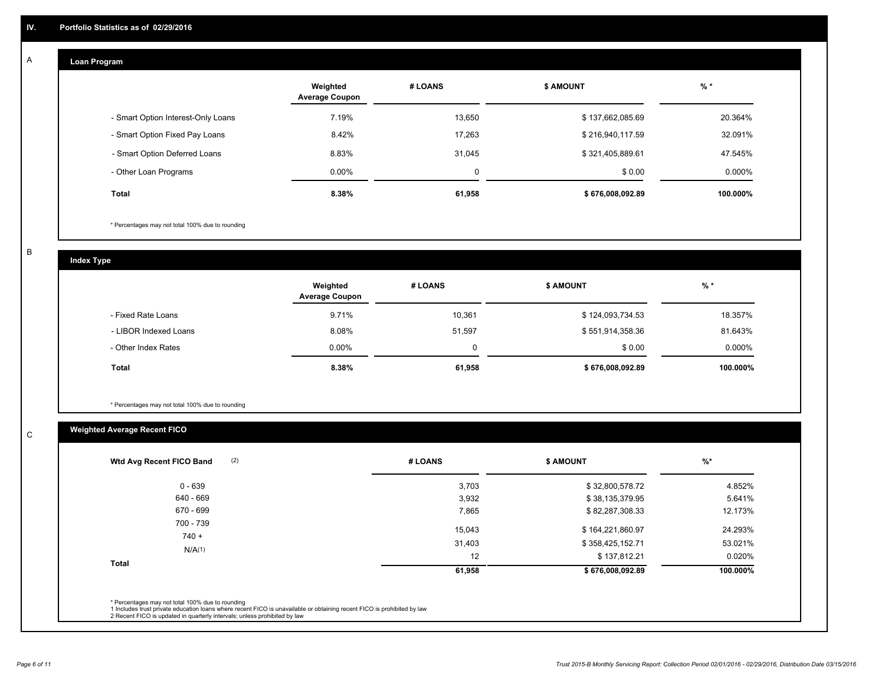#### **Loan Program**  A

|                                    | Weighted<br><b>Average Coupon</b> | # LOANS | <b>\$ AMOUNT</b> | % *       |
|------------------------------------|-----------------------------------|---------|------------------|-----------|
| - Smart Option Interest-Only Loans | 7.19%                             | 13.650  | \$137,662,085.69 | 20.364%   |
| - Smart Option Fixed Pay Loans     | 8.42%                             | 17.263  | \$216,940,117.59 | 32.091%   |
| - Smart Option Deferred Loans      | 8.83%                             | 31.045  | \$321,405,889.61 | 47.545%   |
| - Other Loan Programs              | $0.00\%$                          | 0       | \$0.00           | $0.000\%$ |
| <b>Total</b>                       | $8.38\%$                          | 61,958  | \$676,008,092.89 | 100.000%  |

\* Percentages may not total 100% due to rounding

B

C

**Index Type**

|                       | Weighted<br><b>Average Coupon</b> | # LOANS | <b>\$ AMOUNT</b> | $%$ *     |
|-----------------------|-----------------------------------|---------|------------------|-----------|
| - Fixed Rate Loans    | 9.71%                             | 10,361  | \$124,093,734.53 | 18.357%   |
| - LIBOR Indexed Loans | 8.08%                             | 51,597  | \$551,914,358.36 | 81.643%   |
| - Other Index Rates   | $0.00\%$                          |         | \$0.00           | $0.000\%$ |
| Total                 | 8.38%                             | 61,958  | \$676,008,092.89 | 100.000%  |

\* Percentages may not total 100% due to rounding

## **Weighted Average Recent FICO**

| # LOANS | <b>\$ AMOUNT</b> | $%$ *    |
|---------|------------------|----------|
| 3,703   | \$32,800,578.72  | 4.852%   |
| 3,932   | \$38,135,379.95  | 5.641%   |
| 7,865   | \$82,287,308.33  | 12.173%  |
| 15,043  | \$164,221,860.97 | 24.293%  |
| 31,403  | \$358,425,152.71 | 53.021%  |
| 12      | \$137,812.21     | 0.020%   |
| 61,958  | \$676,008,092.89 | 100.000% |
|         |                  |          |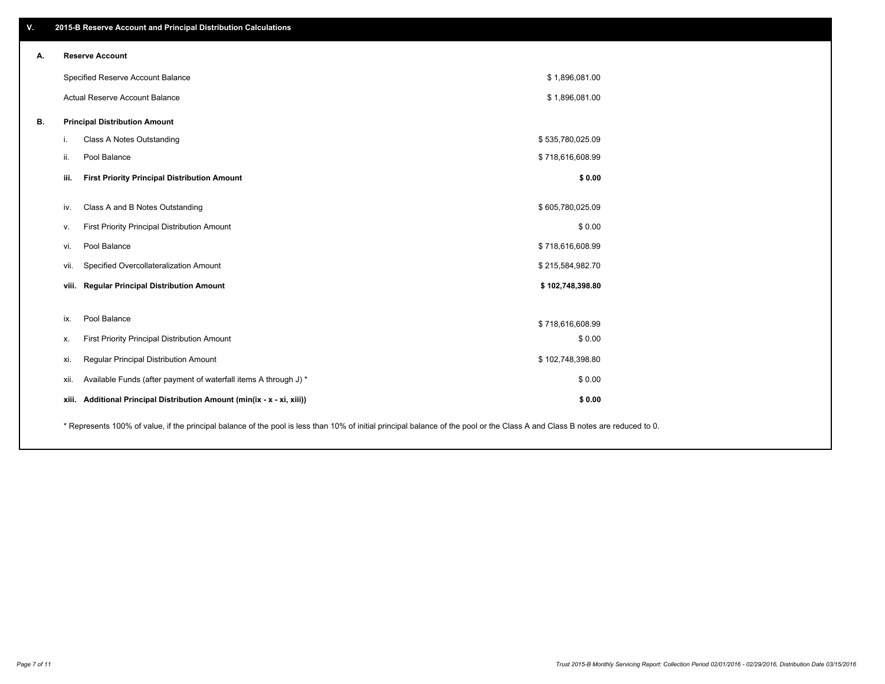| V. | 2015-B Reserve Account and Principal Distribution Calculations                                                                                                                |                  |  |
|----|-------------------------------------------------------------------------------------------------------------------------------------------------------------------------------|------------------|--|
| А. | <b>Reserve Account</b>                                                                                                                                                        |                  |  |
|    | Specified Reserve Account Balance                                                                                                                                             | \$1,896,081.00   |  |
|    | Actual Reserve Account Balance                                                                                                                                                | \$1,896,081.00   |  |
| В. | <b>Principal Distribution Amount</b>                                                                                                                                          |                  |  |
|    | Class A Notes Outstanding<br>i.                                                                                                                                               | \$535,780,025.09 |  |
|    | Pool Balance<br>ii.                                                                                                                                                           | \$718,616,608.99 |  |
|    | iii.<br><b>First Priority Principal Distribution Amount</b>                                                                                                                   | \$0.00           |  |
|    | Class A and B Notes Outstanding<br>iv.                                                                                                                                        | \$605,780,025.09 |  |
|    | First Priority Principal Distribution Amount<br>v.                                                                                                                            | \$0.00           |  |
|    | Pool Balance<br>vi.                                                                                                                                                           | \$718,616,608.99 |  |
|    | Specified Overcollateralization Amount<br>vii.                                                                                                                                | \$215,584,982.70 |  |
|    | <b>Regular Principal Distribution Amount</b><br>viii.                                                                                                                         | \$102,748,398.80 |  |
|    |                                                                                                                                                                               |                  |  |
|    | Pool Balance<br>ix.                                                                                                                                                           | \$718,616,608.99 |  |
|    | First Priority Principal Distribution Amount<br>х.                                                                                                                            | \$0.00           |  |
|    | Regular Principal Distribution Amount<br>xi.                                                                                                                                  | \$102,748,398.80 |  |
|    | Available Funds (after payment of waterfall items A through J) *<br>xii.                                                                                                      | \$0.00           |  |
|    | xiii. Additional Principal Distribution Amount (min(ix - x - xi, xiii))                                                                                                       | \$0.00           |  |
|    | * Represents 100% of value, if the principal balance of the pool is less than 10% of initial principal balance of the pool or the Class A and Class B notes are reduced to 0. |                  |  |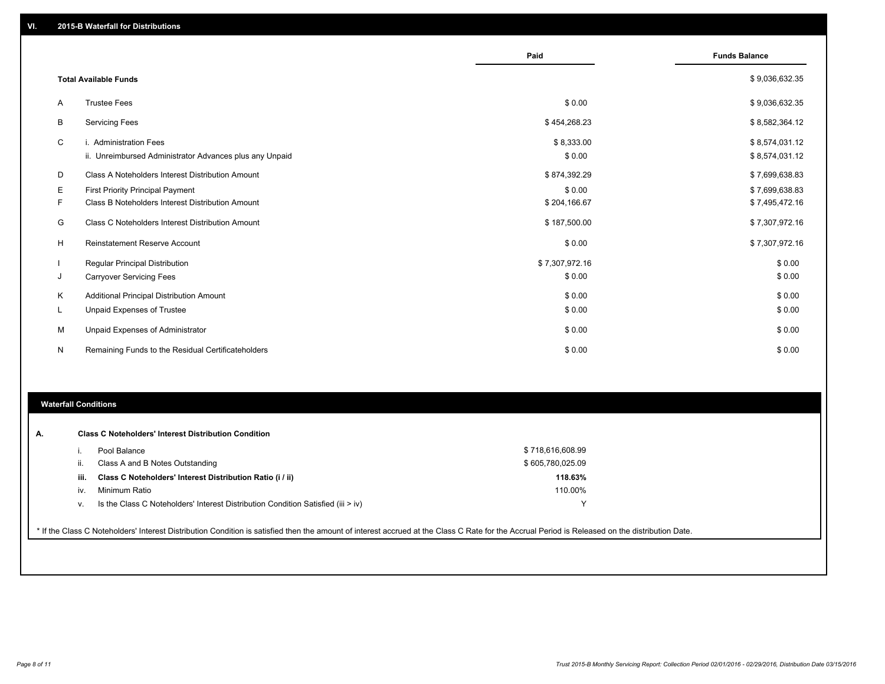|   |                                                         | Paid           | <b>Funds Balance</b> |
|---|---------------------------------------------------------|----------------|----------------------|
|   | <b>Total Available Funds</b>                            |                | \$9,036,632.35       |
| A | <b>Trustee Fees</b>                                     | \$0.00         | \$9,036,632.35       |
| B | <b>Servicing Fees</b>                                   | \$454,268.23   | \$8,582,364.12       |
| C | i. Administration Fees                                  | \$8,333.00     | \$8,574,031.12       |
|   | ii. Unreimbursed Administrator Advances plus any Unpaid | \$0.00         | \$8,574,031.12       |
| D | Class A Noteholders Interest Distribution Amount        | \$874,392.29   | \$7,699,638.83       |
| Ε | First Priority Principal Payment                        | \$0.00         | \$7,699,638.83       |
| F | Class B Noteholders Interest Distribution Amount        | \$204,166.67   | \$7,495,472.16       |
| G | Class C Noteholders Interest Distribution Amount        | \$187,500.00   | \$7,307,972.16       |
| H | Reinstatement Reserve Account                           | \$0.00         | \$7,307,972.16       |
|   | Regular Principal Distribution                          | \$7,307,972.16 | \$0.00               |
| J | <b>Carryover Servicing Fees</b>                         | \$0.00         | \$0.00               |
| K | Additional Principal Distribution Amount                | \$0.00         | \$0.00               |
| L | <b>Unpaid Expenses of Trustee</b>                       | \$0.00         | \$0.00               |
| M | Unpaid Expenses of Administrator                        | \$0.00         | \$0.00               |
| N | Remaining Funds to the Residual Certificateholders      | \$0.00         | \$0.00               |

### **Waterfall Conditions**

|      | Pool Balance                                                                       | \$718,616,608.99 |
|------|------------------------------------------------------------------------------------|------------------|
| н.   | Class A and B Notes Outstanding                                                    | \$605,780,025.09 |
| iii. | Class C Noteholders' Interest Distribution Ratio (i / ii)                          | 118.63%          |
| IV.  | Minimum Ratio                                                                      | 110.00%          |
| ν.   | Is the Class C Noteholders' Interest Distribution Condition Satisfied (iii $>$ iv) | ∨                |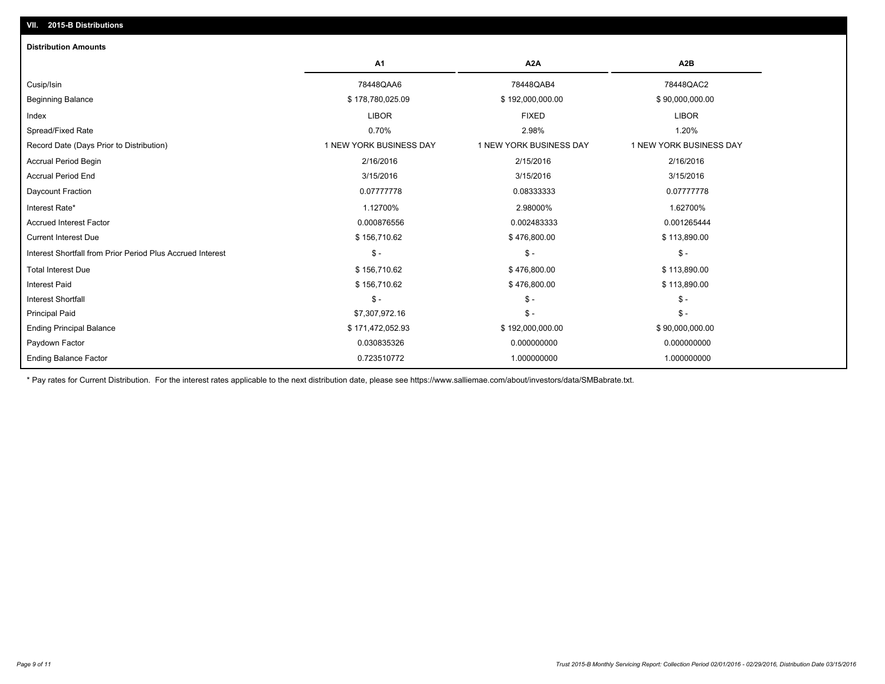| <b>Distribution Amounts</b>                                |                         |                         |                         |
|------------------------------------------------------------|-------------------------|-------------------------|-------------------------|
|                                                            | A1                      | A <sub>2</sub> A        | A2B                     |
| Cusip/Isin                                                 | 78448QAA6               | 78448QAB4               | 78448QAC2               |
| <b>Beginning Balance</b>                                   | \$178,780,025.09        | \$192,000,000.00        | \$90,000,000.00         |
| Index                                                      | <b>LIBOR</b>            | <b>FIXED</b>            | <b>LIBOR</b>            |
| Spread/Fixed Rate                                          | 0.70%                   | 2.98%                   | 1.20%                   |
| Record Date (Days Prior to Distribution)                   | 1 NEW YORK BUSINESS DAY | 1 NEW YORK BUSINESS DAY | 1 NEW YORK BUSINESS DAY |
| <b>Accrual Period Begin</b>                                | 2/16/2016               | 2/15/2016               | 2/16/2016               |
| <b>Accrual Period End</b>                                  | 3/15/2016               | 3/15/2016               | 3/15/2016               |
| Daycount Fraction                                          | 0.07777778              | 0.08333333              | 0.07777778              |
| Interest Rate*                                             | 1.12700%                | 2.98000%                | 1.62700%                |
| <b>Accrued Interest Factor</b>                             | 0.000876556             | 0.002483333             | 0.001265444             |
| <b>Current Interest Due</b>                                | \$156,710.62            | \$476,800.00            | \$113,890.00            |
| Interest Shortfall from Prior Period Plus Accrued Interest | $\mathsf{\$}$ -         | $\mathsf{\$}$ -         | $\mathsf{\$}$ -         |
| <b>Total Interest Due</b>                                  | \$156,710.62            | \$476,800.00            | \$113,890.00            |
| <b>Interest Paid</b>                                       | \$156,710.62            | \$476,800.00            | \$113,890.00            |
| <b>Interest Shortfall</b>                                  | $\mathsf{\$}$ -         | $\mathcal{S}$ -         | $\mathsf{\$}$ -         |
| <b>Principal Paid</b>                                      | \$7,307,972.16          | $\mathsf{\$}$ -         | $\mathsf{\$}$ -         |
| <b>Ending Principal Balance</b>                            | \$171,472,052.93        | \$192,000,000.00        | \$90,000,000.00         |
| Paydown Factor                                             | 0.030835326             | 0.000000000             | 0.000000000             |
| <b>Ending Balance Factor</b>                               | 0.723510772             | 1.000000000             | 1.000000000             |

\* Pay rates for Current Distribution. For the interest rates applicable to the next distribution date, please see https://www.salliemae.com/about/investors/data/SMBabrate.txt.

**VII. 2015-B Distributions**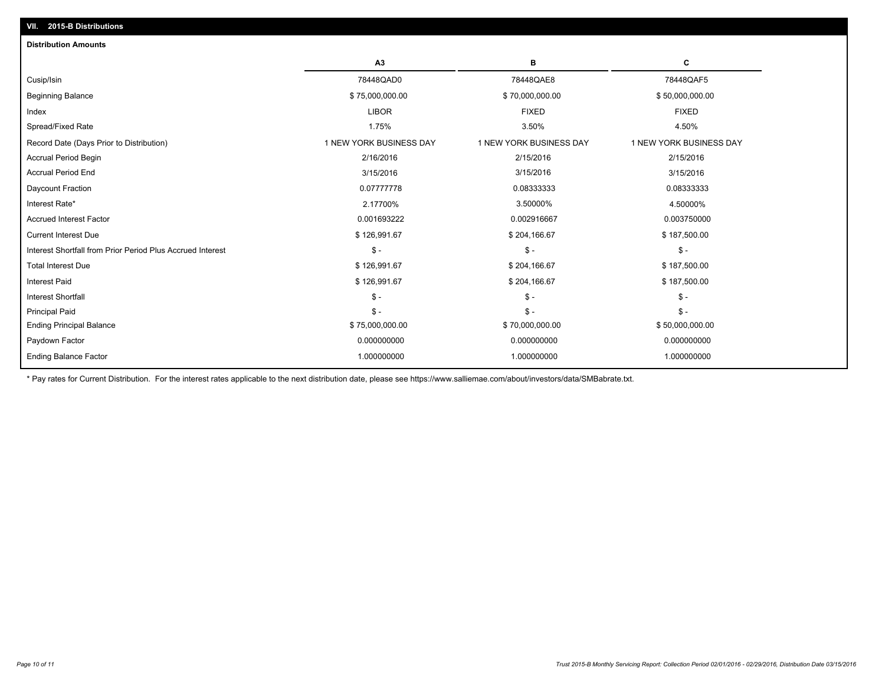| <b>Distribution Amounts</b>                                |                         |                         |                         |
|------------------------------------------------------------|-------------------------|-------------------------|-------------------------|
|                                                            | A3                      | в                       | с                       |
| Cusip/Isin                                                 | 78448QAD0               | 78448QAE8               | 78448QAF5               |
| <b>Beginning Balance</b>                                   | \$75,000,000.00         | \$70,000,000.00         | \$50,000,000.00         |
| Index                                                      | <b>LIBOR</b>            | <b>FIXED</b>            | <b>FIXED</b>            |
| Spread/Fixed Rate                                          | 1.75%                   | 3.50%                   | 4.50%                   |
| Record Date (Days Prior to Distribution)                   | 1 NEW YORK BUSINESS DAY | 1 NEW YORK BUSINESS DAY | 1 NEW YORK BUSINESS DAY |
| <b>Accrual Period Begin</b>                                | 2/16/2016               | 2/15/2016               | 2/15/2016               |
| <b>Accrual Period End</b>                                  | 3/15/2016               | 3/15/2016               | 3/15/2016               |
| Daycount Fraction                                          | 0.07777778              | 0.08333333              | 0.08333333              |
| Interest Rate*                                             | 2.17700%                | 3.50000%                | 4.50000%                |
| <b>Accrued Interest Factor</b>                             | 0.001693222             | 0.002916667             | 0.003750000             |
| <b>Current Interest Due</b>                                | \$126,991.67            | \$204,166.67            | \$187,500.00            |
| Interest Shortfall from Prior Period Plus Accrued Interest | $\mathsf{\$}$ -         | $\mathsf{\$}$ -         | $\frac{2}{3}$ -         |
| <b>Total Interest Due</b>                                  | \$126,991.67            | \$204,166.67            | \$187,500.00            |
| <b>Interest Paid</b>                                       | \$126,991.67            | \$204,166.67            | \$187,500.00            |
| <b>Interest Shortfall</b>                                  | $\mathsf{\$}$ -         | $\mathsf{\$}$ -         | $S -$                   |
| <b>Principal Paid</b>                                      | $\mathsf{\$}$ -         | $\mathsf{\$}$ -         | $S -$                   |
| <b>Ending Principal Balance</b>                            | \$75,000,000.00         | \$70,000,000.00         | \$50,000,000.00         |
| Paydown Factor                                             | 0.000000000             | 0.000000000             | 0.000000000             |
| <b>Ending Balance Factor</b>                               | 1.000000000             | 1.000000000             | 1.000000000             |

\* Pay rates for Current Distribution. For the interest rates applicable to the next distribution date, please see https://www.salliemae.com/about/investors/data/SMBabrate.txt.

**VII. 2015-B Distributions**